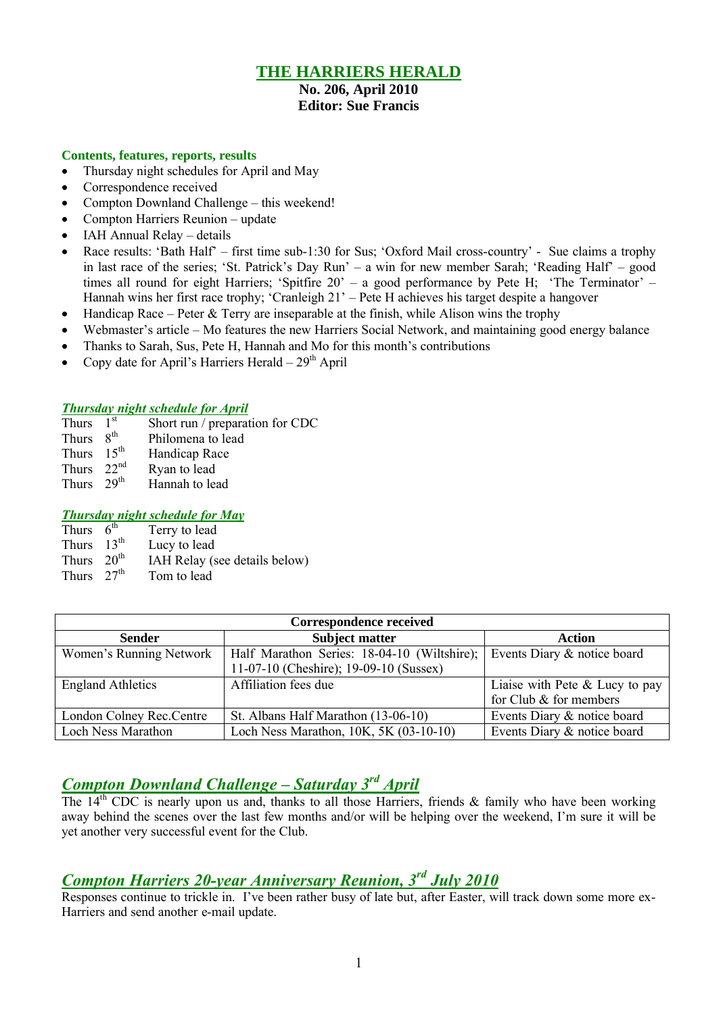## **THE HARRIERS HERALD**

#### **No. 206, April 2010 Editor: Sue Francis**

#### **Contents, features, reports, results**

- Thursday night schedules for April and May
- Correspondence received
- Compton Downland Challenge this weekend!
- Compton Harriers Reunion update
- IAH Annual Relay details
- Race results: 'Bath Half' first time sub-1:30 for Sus; 'Oxford Mail cross-country' Sue claims a trophy in last race of the series; 'St. Patrick's Day Run' – a win for new member Sarah; 'Reading Half' – good times all round for eight Harriers; 'Spitfire 20' – a good performance by Pete H; 'The Terminator' – Hannah wins her first race trophy; 'Cranleigh 21' – Pete H achieves his target despite a hangover
- $\bullet$  Handicap Race Peter & Terry are inseparable at the finish, while Alison wins the trophy
- Webmaster's article Mo features the new Harriers Social Network, and maintaining good energy balance
- Thanks to Sarah, Sus, Pete H, Hannah and Mo for this month's contributions
- Copy date for April's Harriers Herald  $-29<sup>th</sup>$  April

#### *Thursday night schedule for April*

- Thurs  $1<sup>st</sup>$ Short run / preparation for CDC
- Thurs  $8^{th}$ Philomena to lead
- Thurs  $15^{th}$  Handicap Race<br>Thurs  $22^{nd}$  Ryan to lead
- Thurs  $22^{nd}$  Ryan to lead<br>Thurs  $29^{th}$  Hannah to lea
- Hannah to lead

#### *Thursday night schedule for May*

- Thurs  $6<sup>th</sup>$ Terry to lead
- Thurs  $13^{th}$  Lucy to lead<br>Thurs  $20^{th}$  IAH Relay (s)
- IAH Relay (see details below)
- Thurs  $27<sup>th</sup>$  Tom to lead

| <b>Correspondence received</b> |                                             |                                  |  |  |  |
|--------------------------------|---------------------------------------------|----------------------------------|--|--|--|
| <b>Sender</b>                  | <b>Subject matter</b>                       | Action                           |  |  |  |
| Women's Running Network        | Half Marathon Series: 18-04-10 (Wiltshire); | Events Diary & notice board      |  |  |  |
|                                | 11-07-10 (Cheshire); 19-09-10 (Sussex)      |                                  |  |  |  |
| <b>England Athletics</b>       | Affiliation fees due                        | Liaise with Pete $&$ Lucy to pay |  |  |  |
|                                |                                             | for Club $\&$ for members        |  |  |  |
| London Colney Rec. Centre      | St. Albans Half Marathon (13-06-10)         | Events Diary & notice board      |  |  |  |
| <b>Loch Ness Marathon</b>      | Loch Ness Marathon, 10K, 5K (03-10-10)      | Events Diary & notice board      |  |  |  |

## *Compton Downland Challenge – Saturday 3 rd April*

The  $14<sup>th</sup>$  CDC is nearly upon us and, thanks to all those Harriers, friends & family who have been working away behind the scenes over the last few months and/or will be helping over the weekend, I'm sure it will be yet another very successful event for the Club.

## *Compton Harriers 20-year Anniversary Reunion, 3 rd July 2010*

Responses continue to trickle in. I've been rather busy of late but, after Easter, will track down some more ex-Harriers and send another e-mail update.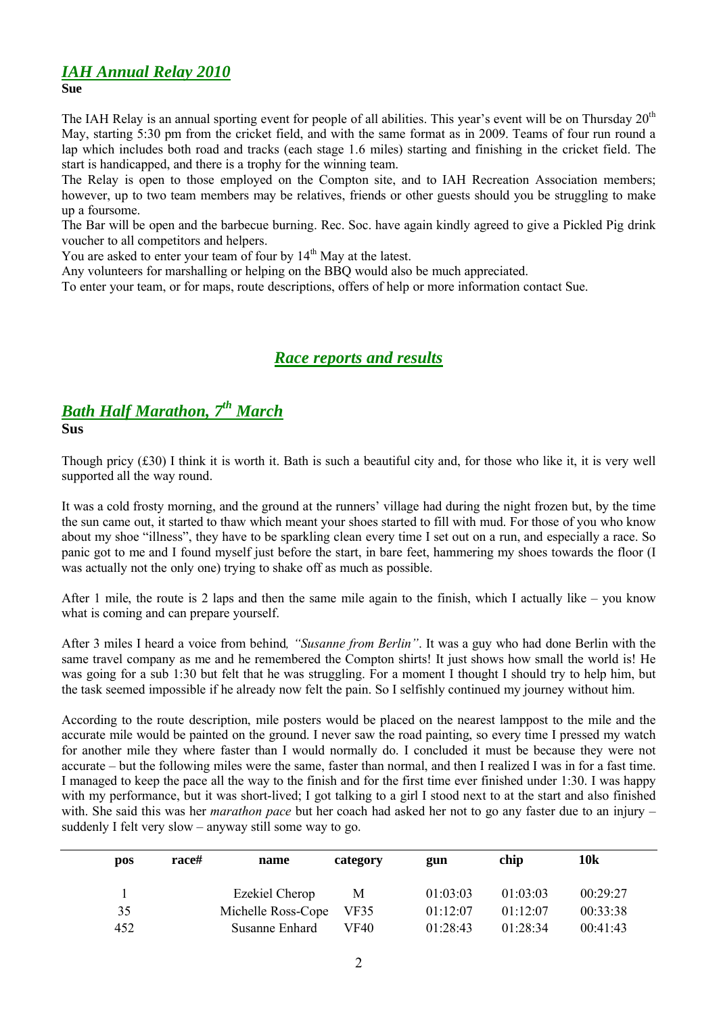## *IAH Annual Relay 2010*

**Sue**

The IAH Relay is an annual sporting event for people of all abilities. This year's event will be on Thursday 20<sup>th</sup> May, starting 5:30 pm from the cricket field, and with the same format as in 2009. Teams of four run round a lap which includes both road and tracks (each stage 1.6 miles) starting and finishing in the cricket field. The start is handicapped, and there is a trophy for the winning team.

The Relay is open to those employed on the Compton site, and to IAH Recreation Association members; however, up to two team members may be relatives, friends or other guests should you be struggling to make up a foursome.

The Bar will be open and the barbecue burning. Rec. Soc. have again kindly agreed to give a Pickled Pig drink voucher to all competitors and helpers.

You are asked to enter your team of four by  $14<sup>th</sup>$  May at the latest.

Any volunteers for marshalling or helping on the BBQ would also be much appreciated.

To enter your team, or for maps, route descriptions, offers of help or more information contact Sue.

## *Race reports and results*

## *Bath Half Marathon, 7 th March*

**Sus**

Though pricy  $(f30)$  I think it is worth it. Bath is such a beautiful city and, for those who like it, it is very well supported all the way round.

It was a cold frosty morning, and the ground at the runners' village had during the night frozen but, by the time the sun came out, it started to thaw which meant your shoes started to fill with mud. For those of you who know about my shoe "illness", they have to be sparkling clean every time I set out on a run, and especially a race. So panic got to me and I found myself just before the start, in bare feet, hammering my shoes towards the floor (I was actually not the only one) trying to shake off as much as possible.

After 1 mile, the route is 2 laps and then the same mile again to the finish, which I actually like – you know what is coming and can prepare yourself.

After 3 miles I heard a voice from behind*, "Susanne from Berlin"*. It was a guy who had done Berlin with the same travel company as me and he remembered the Compton shirts! It just shows how small the world is! He was going for a sub 1:30 but felt that he was struggling. For a moment I thought I should try to help him, but the task seemed impossible if he already now felt the pain. So I selfishly continued my journey without him.

According to the route description, mile posters would be placed on the nearest lamppost to the mile and the accurate mile would be painted on the ground. I never saw the road painting, so every time I pressed my watch for another mile they where faster than I would normally do. I concluded it must be because they were not accurate – but the following miles were the same, faster than normal, and then I realized I was in for a fast time. I managed to keep the pace all the way to the finish and for the first time ever finished under 1:30. I was happy with my performance, but it was short-lived; I got talking to a girl I stood next to at the start and also finished with. She said this was her *marathon pace* but her coach had asked her not to go any faster due to an injury – suddenly I felt very slow – anyway still some way to go.

| <b>pos</b> | race# | name               | category | gun      | chip     | 10k      |
|------------|-------|--------------------|----------|----------|----------|----------|
|            |       | Ezekiel Cherop     | М        | 01:03:03 | 01:03:03 | 00:29:27 |
| 35         |       | Michelle Ross-Cope | VF35     | 01:12:07 | 01:12:07 | 00:33:38 |
| 452        |       | Susanne Enhard     | VF40     | 01:28:43 | 01:28:34 | 00:41:43 |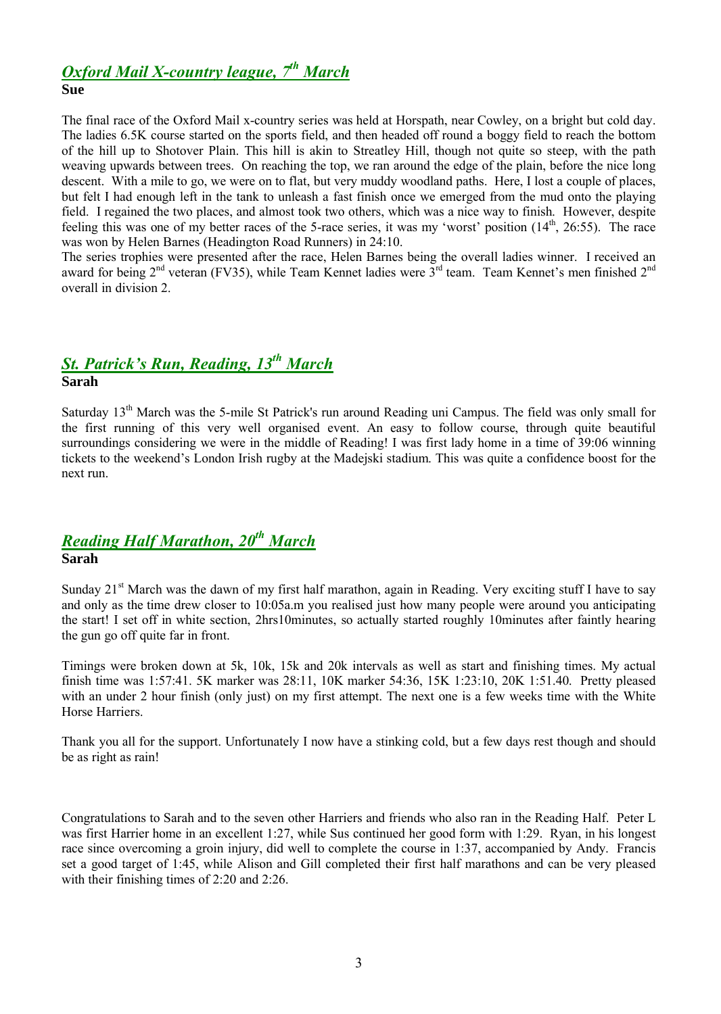# *Oxford Mail X-country league, 7 th March*

#### **Sue**

The final race of the Oxford Mail x-country series was held at Horspath, near Cowley, on a bright but cold day. The ladies 6.5K course started on the sports field, and then headed off round a boggy field to reach the bottom of the hill up to Shotover Plain. This hill is akin to Streatley Hill, though not quite so steep, with the path weaving upwards between trees. On reaching the top, we ran around the edge of the plain, before the nice long descent. With a mile to go, we were on to flat, but very muddy woodland paths. Here, I lost a couple of places, but felt I had enough left in the tank to unleash a fast finish once we emerged from the mud onto the playing field. I regained the two places, and almost took two others, which was a nice way to finish. However, despite feeling this was one of my better races of the 5-race series, it was my 'worst' position  $(14<sup>th</sup>, 26:55)$ . The race was won by Helen Barnes (Headington Road Runners) in 24:10.

The series trophies were presented after the race, Helen Barnes being the overall ladies winner. I received an award for being 2<sup>nd</sup> veteran (FV35), while Team Kennet ladies were 3<sup>rd</sup> team. Team Kennet's men finished 2<sup>nd</sup> overall in division 2.

### *St. Patrick's Run, Reading, 13th March* **Sarah**

Saturday 13<sup>th</sup> March was the 5-mile St Patrick's run around Reading uni Campus. The field was only small for the first running of this very well organised event. An easy to follow course, through quite beautiful surroundings considering we were in the middle of Reading! I was first lady home in a time of 39:06 winning tickets to the weekend's London Irish rugby at the Madejski stadium. This was quite a confidence boost for the next run.

# *Reading Half Marathon, 20th March*

#### **Sarah**

Sunday 21<sup>st</sup> March was the dawn of my first half marathon, again in Reading. Very exciting stuff I have to say and only as the time drew closer to 10:05a.m you realised just how many people were around you anticipating the start! I set off in white section, 2hrs10minutes, so actually started roughly 10minutes after faintly hearing the gun go off quite far in front.

Timings were broken down at 5k, 10k, 15k and 20k intervals as well as start and finishing times. My actual finish time was 1:57:41. 5K marker was 28:11, 10K marker 54:36, 15K 1:23:10, 20K 1:51.40. Pretty pleased with an under 2 hour finish (only just) on my first attempt. The next one is a few weeks time with the White Horse Harriers.

Thank you all for the support. Unfortunately I now have a stinking cold, but a few days rest though and should be as right as rain!

Congratulations to Sarah and to the seven other Harriers and friends who also ran in the Reading Half. Peter L was first Harrier home in an excellent 1:27, while Sus continued her good form with 1:29. Ryan, in his longest race since overcoming a groin injury, did well to complete the course in 1:37, accompanied by Andy. Francis set a good target of 1:45, while Alison and Gill completed their first half marathons and can be very pleased with their finishing times of 2:20 and 2:26.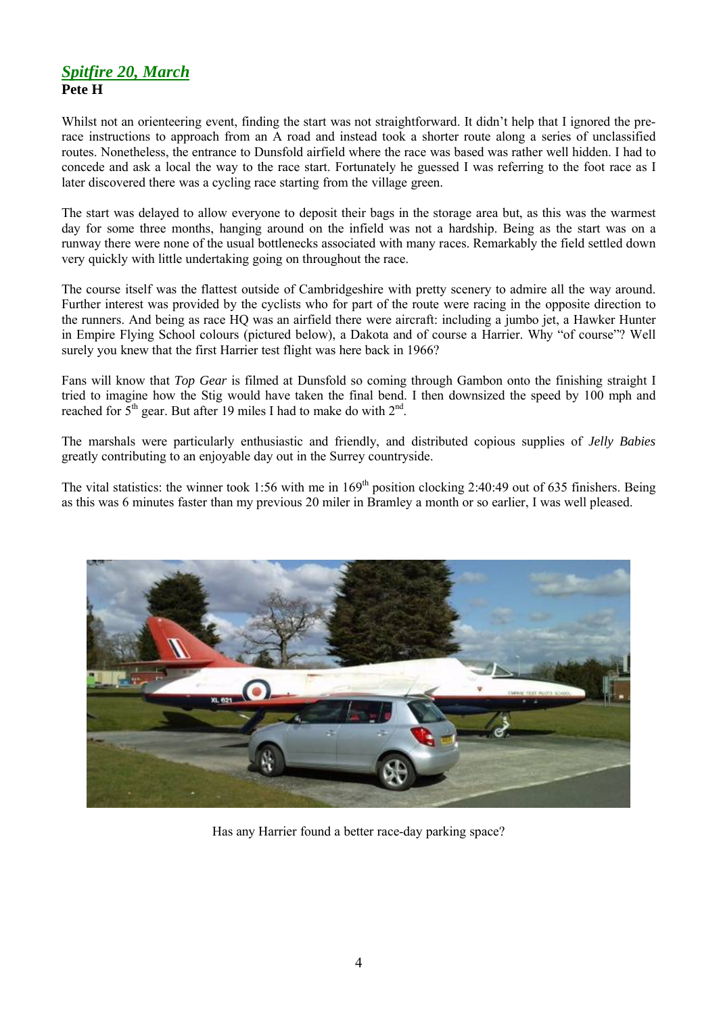## *Spitfire 20, March* **Pete H**

Whilst not an orienteering event, finding the start was not straightforward. It didn't help that I ignored the prerace instructions to approach from an A road and instead took a shorter route along a series of unclassified routes. Nonetheless, the entrance to Dunsfold airfield where the race was based was rather well hidden. I had to concede and ask a local the way to the race start. Fortunately he guessed I was referring to the foot race as I later discovered there was a cycling race starting from the village green.

The start was delayed to allow everyone to deposit their bags in the storage area but, as this was the warmest day for some three months, hanging around on the infield was not a hardship. Being as the start was on a runway there were none of the usual bottlenecks associated with many races. Remarkably the field settled down very quickly with little undertaking going on throughout the race.

The course itself was the flattest outside of Cambridgeshire with pretty scenery to admire all the way around. Further interest was provided by the cyclists who for part of the route were racing in the opposite direction to the runners. And being as race HQ was an airfield there were aircraft: including a jumbo jet, a Hawker Hunter in Empire Flying School colours (pictured below), a Dakota and of course a Harrier. Why "of course"? Well surely you knew that the first Harrier test flight was here back in 1966?

Fans will know that *Top Gear* is filmed at Dunsfold so coming through Gambon onto the finishing straight I tried to imagine how the Stig would have taken the final bend. I then downsized the speed by 100 mph and reached for  $5<sup>th</sup>$  gear. But after 19 miles I had to make do with  $2<sup>nd</sup>$ .

The marshals were particularly enthusiastic and friendly, and distributed copious supplies of *Jelly Babies* greatly contributing to an enjoyable day out in the Surrey countryside.

The vital statistics: the winner took 1:56 with me in  $169<sup>th</sup>$  position clocking 2:40:49 out of 635 finishers. Being as this was 6 minutes faster than my previous 20 miler in Bramley a month or so earlier, I was well pleased.



Has any Harrier found a better race-day parking space?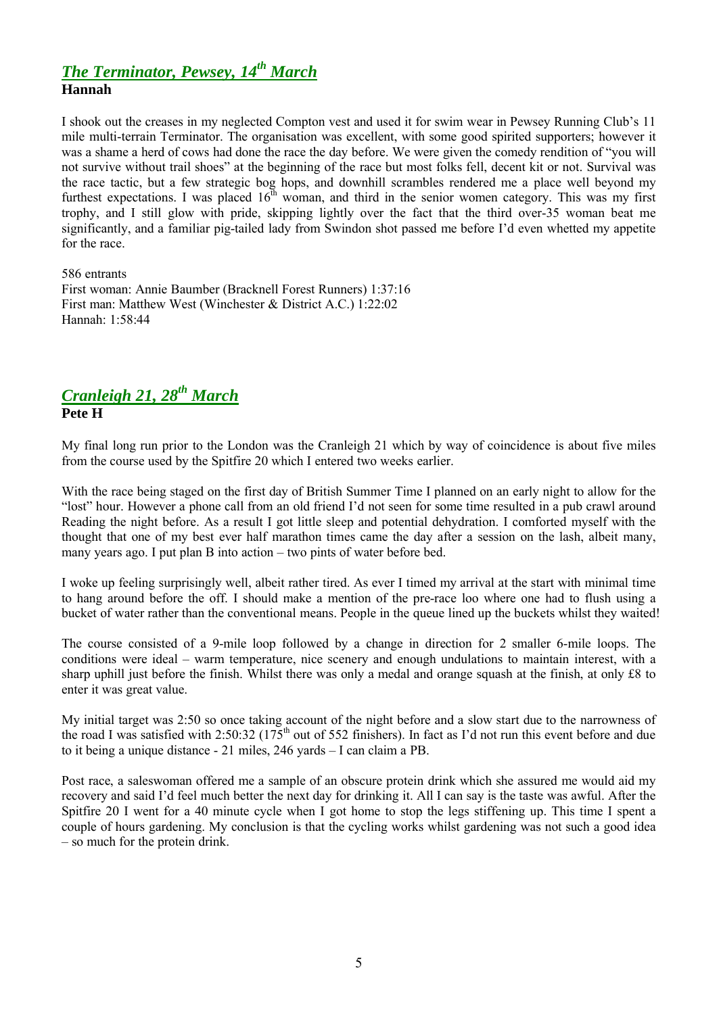#### *The Terminator, Pewsey, 14th March* **Hannah**

I shook out the creases in my neglected Compton vest and used it for swim wear in Pewsey Running Club's 11 mile multi-terrain Terminator. The organisation was excellent, with some good spirited supporters; however it was a shame a herd of cows had done the race the day before. We were given the comedy rendition of "you will not survive without trail shoes" at the beginning of the race but most folks fell, decent kit or not. Survival was the race tactic, but a few strategic bog hops, and downhill scrambles rendered me a place well beyond my furthest expectations. I was placed  $16<sup>th</sup>$  woman, and third in the senior women category. This was my first trophy, and I still glow with pride, skipping lightly over the fact that the third over-35 woman beat me significantly, and a familiar pig-tailed lady from Swindon shot passed me before I'd even whetted my appetite

586 entrants

for the race.

First woman: Annie Baumber (Bracknell Forest Runners) 1:37:16 First man: Matthew West (Winchester & District A.C.) 1:22:02 Hannah: 1:58:44

## *Cranleigh 21, 28 th March* **Pete H**

My final long run prior to the London was the Cranleigh 21 which by way of coincidence is about five miles from the course used by the Spitfire 20 which I entered two weeks earlier.

With the race being staged on the first day of British Summer Time I planned on an early night to allow for the "lost" hour. However a phone call from an old friend I'd not seen for some time resulted in a pub crawl around Reading the night before. As a result I got little sleep and potential dehydration. I comforted myself with the thought that one of my best ever half marathon times came the day after a session on the lash, albeit many, many years ago. I put plan B into action – two pints of water before bed.

I woke up feeling surprisingly well, albeit rather tired. As ever I timed my arrival at the start with minimal time to hang around before the off. I should make a mention of the pre-race loo where one had to flush using a bucket of water rather than the conventional means. People in the queue lined up the buckets whilst they waited!

The course consisted of a 9-mile loop followed by a change in direction for 2 smaller 6-mile loops. The conditions were ideal – warm temperature, nice scenery and enough undulations to maintain interest, with a sharp uphill just before the finish. Whilst there was only a medal and orange squash at the finish, at only É8 to enter it was great value.

My initial target was 2:50 so once taking account of the night before and a slow start due to the narrowness of the road I was satisfied with 2:50:32 ( $175<sup>th</sup>$  out of 552 finishers). In fact as I'd not run this event before and due to it being a unique distance - 21 miles, 246 yards – I can claim a PB.

Post race, a saleswoman offered me a sample of an obscure protein drink which she assured me would aid my recovery and said I'd feel much better the next day for drinking it. All I can say is the taste was awful. After the Spitfire 20 I went for a 40 minute cycle when I got home to stop the legs stiffening up. This time I spent a couple of hours gardening. My conclusion is that the cycling works whilst gardening was not such a good idea – so much for the protein drink.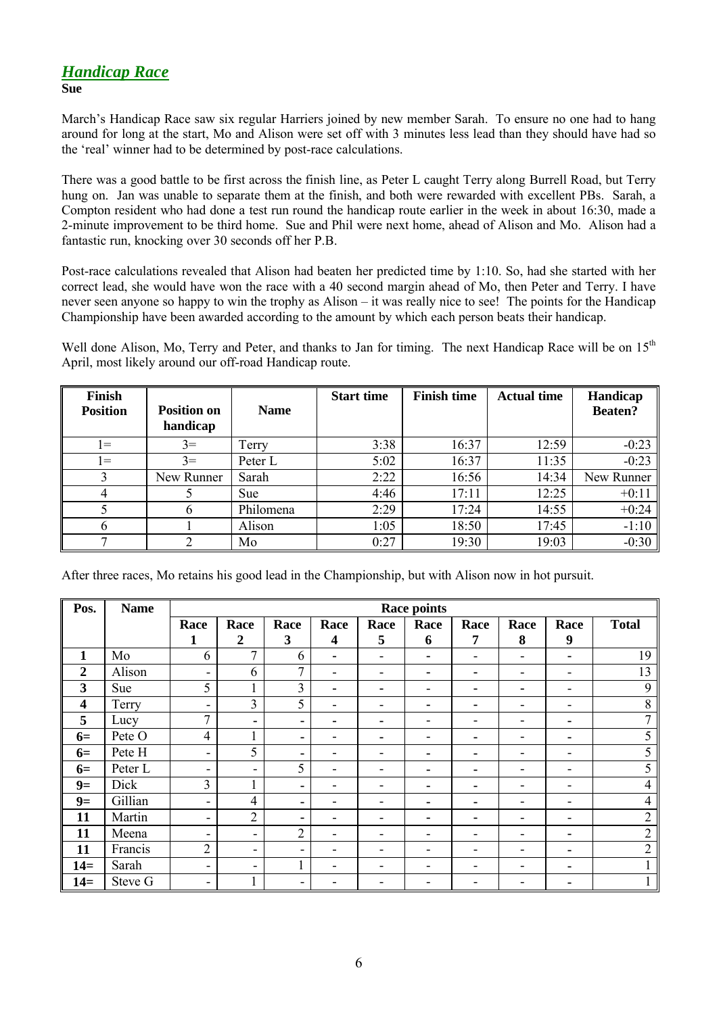## *Handicap Race*

#### **Sue**

March's Handicap Race saw six regular Harriers joined by new member Sarah. To ensure no one had to hang around for long at the start, Mo and Alison were set off with 3 minutes less lead than they should have had so the 'real' winner had to be determined by post-race calculations.

There was a good battle to be first across the finish line, as Peter L caught Terry along Burrell Road, but Terry hung on. Jan was unable to separate them at the finish, and both were rewarded with excellent PBs. Sarah, a Compton resident who had done a test run round the handicap route earlier in the week in about 16:30, made a 2-minute improvement to be third home. Sue and Phil were next home, ahead of Alison and Mo. Alison had a fantastic run, knocking over 30 seconds off her P.B.

Post-race calculations revealed that Alison had beaten her predicted time by 1:10. So, had she started with her correct lead, she would have won the race with a 40 second margin ahead of Mo, then Peter and Terry. I have never seen anyone so happy to win the trophy as Alison – it was really nice to see! The points for the Handicap Championship have been awarded according to the amount by which each person beats their handicap.

Well done Alison, Mo, Terry and Peter, and thanks to Jan for timing. The next Handicap Race will be on 15<sup>th</sup> April, most likely around our off-road Handicap route.

| <b>Finish</b>   |                    |             | <b>Start time</b> | <b>Finish time</b> | <b>Actual time</b> | Handicap       |
|-----------------|--------------------|-------------|-------------------|--------------------|--------------------|----------------|
| <b>Position</b> | <b>Position on</b> | <b>Name</b> |                   |                    |                    | <b>Beaten?</b> |
|                 | handicap           |             |                   |                    |                    |                |
| $\vert =$       | $3=$               | Terry       | 3:38              | 16:37              | 12:59              | $-0:23$        |
| $\vert =$       | $3=$               | Peter L     | 5:02              | 16:37              | 11:35              | $-0:23$        |
| 3               | New Runner         | Sarah       | 2:22              | 16:56              | 14:34              | New Runner     |
|                 |                    | Sue         | 4:46              | 17:11              | 12:25              | $+0:11$        |
|                 | h.                 | Philomena   | 2:29              | 17:24              | 14:55              | $+0:24$        |
|                 |                    | Alison      | 1:05              | 18:50              | 17:45              | $-1:10$        |
|                 |                    | Mo          | 0:27              | 19:30              | 19:03              | $-0:30$        |

After three races, Mo retains his good lead in the Championship, but with Alison now in hot pursuit.

| Pos.                    | <b>Name</b> | <b>Race points</b>           |                          |                          |                          |      |      |      |      |                          |                |
|-------------------------|-------------|------------------------------|--------------------------|--------------------------|--------------------------|------|------|------|------|--------------------------|----------------|
|                         |             | Race                         | Race                     | Race                     | Race                     | Race | Race | Race | Race | Race                     | <b>Total</b>   |
|                         |             | 1                            | $\boldsymbol{2}$         | 3                        | 4                        | 5    | 6    | 7    | 8    | 9                        |                |
| $\mathbf{1}$            | Mo          | 6                            | $\mathcal{I}$            | 6                        | ۰                        | -    | ۰.   |      |      | $\blacksquare$           | 19             |
| $\boldsymbol{2}$        | Alison      | $\overline{\phantom{a}}$     | 6                        | 7                        | $\overline{\phantom{a}}$ | -    |      |      |      | ٠                        | 13             |
| 3                       | Sue         | 5                            | $\mathbf{1}$             | $\overline{3}$           | ۰                        |      |      |      |      |                          | 9              |
| $\overline{\mathbf{4}}$ | Terry       | $\qquad \qquad \blacksquare$ | 3                        | 5                        | ۰                        |      |      |      |      | $\overline{\phantom{a}}$ | 8              |
| 5                       | Lucy        | 7                            | ۰                        | ۰                        | -                        |      |      |      |      | ٠                        | 7              |
| $6=$                    | Pete O      | $\overline{4}$               | 1                        | ۰                        |                          |      |      |      |      | ٠                        | 5              |
| $6=$                    | Pete H      | Ξ.                           | 5                        | $\blacksquare$           | -                        |      |      |      |      | $\overline{\phantom{a}}$ | 5              |
| $6=$                    | Peter L     | -                            | ٠                        | 5                        | -                        | ۰    | -    |      |      | $\overline{\phantom{a}}$ | 5              |
| $9=$                    | Dick        | 3                            | 1                        | ۰                        | $\overline{\phantom{0}}$ | ۰    |      |      |      | $\overline{\phantom{a}}$ | $\overline{4}$ |
| $9=$                    | Gillian     | $\overline{\phantom{a}}$     | $\overline{4}$           | ۰                        | -                        | -    | -    | ۰    | -    | $\overline{\phantom{a}}$ | $\overline{4}$ |
| 11                      | Martin      | -                            | $\overline{2}$           | ۰                        | ۰                        | ۰    |      |      |      | $\overline{\phantom{a}}$ | $\overline{2}$ |
| 11                      | Meena       | ۰                            | $\overline{\phantom{0}}$ | $\overline{2}$           | $\overline{\phantom{0}}$ | ۰    | -    |      |      | ٠                        | $\overline{2}$ |
| 11                      | Francis     | $\overline{2}$               | -                        | $\overline{\phantom{a}}$ |                          |      |      |      |      |                          | $\overline{2}$ |
| $14=$                   | Sarah       | -                            | ۰                        |                          |                          |      |      |      |      | ٠                        |                |
| $14=$                   | Steve G     | -                            | 1                        | ۰                        |                          |      |      |      |      |                          |                |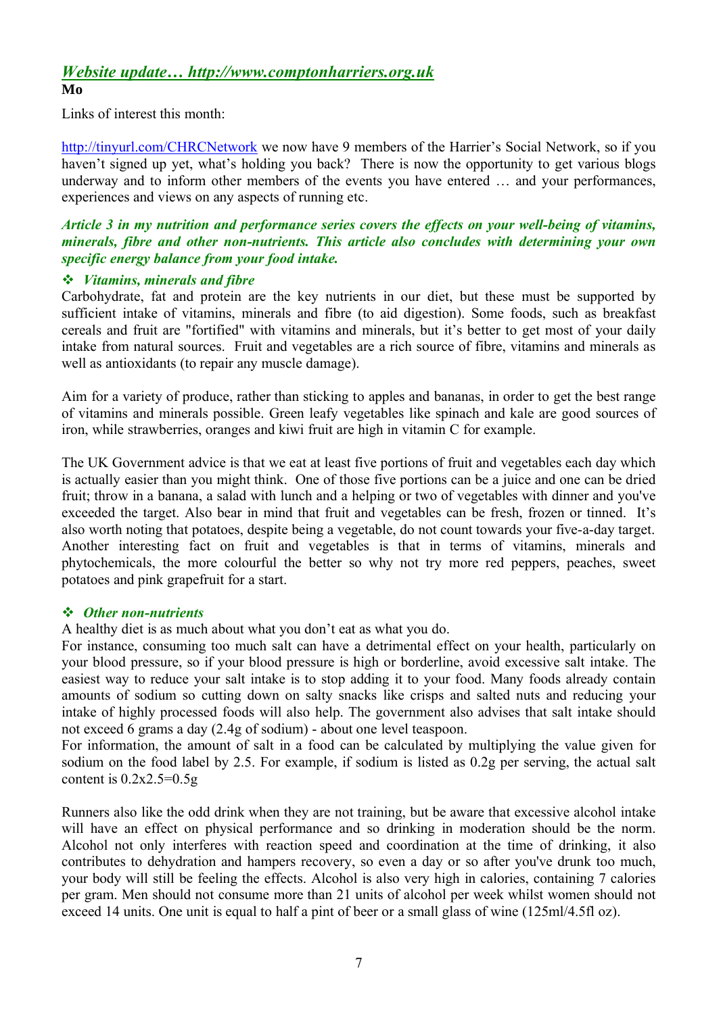#### *Website update… http://www.comptonharriers.org.uk* **Mo**

Links of interest this month:

http://tinyurl.com/CHRCNetwork we now have 9 members of the Harrier's Social Network, so if you haven't signed up yet, what's holding you back? There is now the opportunity to get various blogs underway and to inform other members of the events you have entered … and your performances, experiences and views on any aspects of running etc.

#### *Article 3 in my nutrition and performance series covers the effects on your well-being of vitamins, minerals, fibre and other non-nutrients. This article also concludes with determining your own specific energy balance from your food intake.*

#### *Vitamins, minerals and fibre*

Carbohydrate, fat and protein are the key nutrients in our diet, but these must be supported by sufficient intake of vitamins, minerals and fibre (to aid digestion). Some foods, such as breakfast cereals and fruit are "fortified" with vitamins and minerals, but it's better to get most of your daily intake from natural sources. Fruit and vegetables are a rich source of fibre, vitamins and minerals as well as antioxidants (to repair any muscle damage).

Aim for a variety of produce, rather than sticking to apples and bananas, in order to get the best range of vitamins and minerals possible. Green leafy vegetables like spinach and kale are good sources of iron, while strawberries, oranges and kiwi fruit are high in vitamin C for example.

The UK Government advice is that we eat at least five portions of fruit and vegetables each day which is actually easier than you might think. One of those five portions can be a juice and one can be dried fruit; throw in a banana, a salad with lunch and a helping or two of vegetables with dinner and you've exceeded the target. Also bear in mind that fruit and vegetables can be fresh, frozen or tinned. It's also worth noting that potatoes, despite being a vegetable, do not count towards your five-a-day target. Another interesting fact on fruit and vegetables is that in terms of vitamins, minerals and phytochemicals, the more colourful the better so why not try more red peppers, peaches, sweet potatoes and pink grapefruit for a start.

#### *Other non-nutrients*

A healthy diet is as much about what you don't eat as what you do.

For instance, consuming too much salt can have a detrimental effect on your health, particularly on your blood pressure, so if your blood pressure is high or borderline, avoid excessive salt intake. The easiest way to reduce your salt intake is to stop adding it to your food. Many foods already contain amounts of sodium so cutting down on salty snacks like crisps and salted nuts and reducing your intake of highly processed foods will also help. The government also advises that salt intake should not exceed 6 grams a day (2.4g of sodium) - about one level teaspoon.

For information, the amount of salt in a food can be calculated by multiplying the value given for sodium on the food label by 2.5. For example, if sodium is listed as 0.2g per serving, the actual salt content is  $0.2x2.5=0.5g$ 

Runners also like the odd drink when they are not training, but be aware that excessive alcohol intake will have an effect on physical performance and so drinking in moderation should be the norm. Alcohol not only interferes with reaction speed and coordination at the time of drinking, it also contributes to dehydration and hampers recovery, so even a day or so after you've drunk too much, your body will still be feeling the effects. Alcohol is also very high in calories, containing 7 calories per gram. Men should not consume more than 21 units of alcohol per week whilst women should not exceed 14 units. One unit is equal to half a pint of beer or a small glass of wine (125ml/4.5fl oz).